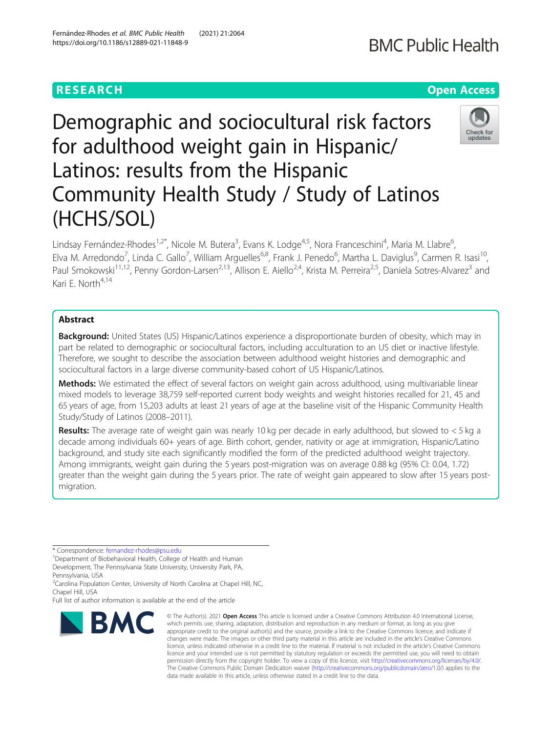# Demographic and sociocultural risk factors for adulthood weight gain in Hispanic/ Latinos: results from the Hispanic Community Health Study / Study of Latinos (HCHS/SOL)

Lindsay Fernández-Rhodes<sup>1,2\*</sup>, Nicole M. Butera<sup>3</sup>, Evans K. Lodge<sup>4,5</sup>, Nora Franceschini<sup>4</sup>, Maria M. Llabre<sup>6</sup> י<br>, Elva M. Arredondo<sup>7</sup>, Linda C. Gallo<sup>7</sup>, William Arguelles<sup>6,8</sup>, Frank J. Penedo<sup>6</sup>, Martha L. Daviglus<sup>9</sup>, Carmen R. Isasi<sup>10</sup>, Paul Smokowski<sup>11,12</sup>, Penny Gordon-Larsen<sup>2,13</sup>, Allison E. Aiello<sup>2,4</sup>, Krista M. Perreira<sup>2,5</sup>, Daniela Sotres-Alvarez<sup>3</sup> and Kari E. North<sup>4,14</sup>

## Abstract

**Background:** United States (US) Hispanic/Latinos experience a disproportionate burden of obesity, which may in part be related to demographic or sociocultural factors, including acculturation to an US diet or inactive lifestyle. Therefore, we sought to describe the association between adulthood weight histories and demographic and sociocultural factors in a large diverse community-based cohort of US Hispanic/Latinos.

Methods: We estimated the effect of several factors on weight gain across adulthood, using multivariable linear mixed models to leverage 38,759 self-reported current body weights and weight histories recalled for 21, 45 and 65 years of age, from 15,203 adults at least 21 years of age at the baseline visit of the Hispanic Community Health Study/Study of Latinos (2008–2011).

**Results:** The average rate of weight gain was nearly 10 kg per decade in early adulthood, but slowed to  $\lt$  5 kg a decade among individuals 60+ years of age. Birth cohort, gender, nativity or age at immigration, Hispanic/Latino background, and study site each significantly modified the form of the predicted adulthood weight trajectory. Among immigrants, weight gain during the 5 years post-migration was on average 0.88 kg (95% CI: 0.04, 1.72) greater than the weight gain during the 5 years prior. The rate of weight gain appeared to slow after 15 years postmigration.

\* Correspondence: [fernandez-rhodes@psu.edu](mailto:fernandez-rhodes@psu.edu) <sup>1</sup>

**BMC** 

<sup>1</sup> Department of Biobehavioral Health, College of Health and Human Development, The Pennsylvania State University, University Park, PA,

Pennsylvania, USA <sup>2</sup>Carolina Population Center, University of North Carolina at Chapel Hill, NC,

Chapel Hill, USA

Full list of author information is available at the end of the article



© The Author(s), 2021 **Open Access** This article is licensed under a Creative Commons Attribution 4.0 International License, which permits use, sharing, adaptation, distribution and reproduction in any medium or format, as long as you give appropriate credit to the original author(s) and the source, provide a link to the Creative Commons licence, and indicate if changes were made. The images or other third party material in this article are included in the article's Creative Commons licence, unless indicated otherwise in a credit line to the material. If material is not included in the article's Creative Commons licence and your intended use is not permitted by statutory regulation or exceeds the permitted use, you will need to obtain permission directly from the copyright holder. To view a copy of this licence, visit [http://creativecommons.org/licenses/by/4.0/.](http://creativecommons.org/licenses/by/4.0/) The Creative Commons Public Domain Dedication waiver [\(http://creativecommons.org/publicdomain/zero/1.0/](http://creativecommons.org/publicdomain/zero/1.0/)) applies to the data made available in this article, unless otherwise stated in a credit line to the data.



# **RESEARCH CHEAR CHEAR CHEAR CHEAR CHEAR CHEAR CHEAR CHEAR CHEAR CHEAR CHEAR CHEAR CHEAR CHEAR CHEAR CHEAR CHEAR**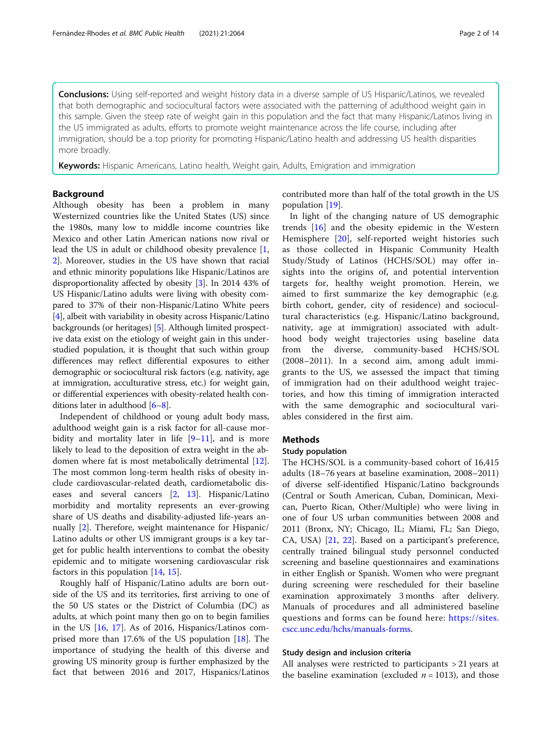**Conclusions:** Using self-reported and weight history data in a diverse sample of US Hispanic/Latinos, we revealed that both demographic and sociocultural factors were associated with the patterning of adulthood weight gain in this sample. Given the steep rate of weight gain in this population and the fact that many Hispanic/Latinos living in the US immigrated as adults, efforts to promote weight maintenance across the life course, including after immigration, should be a top priority for promoting Hispanic/Latino health and addressing US health disparities more broadly.

Keywords: Hispanic Americans, Latino health, Weight gain, Adults, Emigration and immigration

#### Background

Although obesity has been a problem in many Westernized countries like the United States (US) since the 1980s, many low to middle income countries like Mexico and other Latin American nations now rival or lead the US in adult or childhood obesity prevalence [\[1](#page-12-0), [2\]](#page-12-0). Moreover, studies in the US have shown that racial and ethnic minority populations like Hispanic/Latinos are disproportionality affected by obesity [[3\]](#page-12-0). In 2014 43% of US Hispanic/Latino adults were living with obesity compared to 37% of their non-Hispanic/Latino White peers [[4\]](#page-12-0), albeit with variability in obesity across Hispanic/Latino backgrounds (or heritages) [\[5\]](#page-12-0). Although limited prospective data exist on the etiology of weight gain in this understudied population, it is thought that such within group differences may reflect differential exposures to either demographic or sociocultural risk factors (e.g. nativity, age at immigration, acculturative stress, etc.) for weight gain, or differential experiences with obesity-related health conditions later in adulthood [[6](#page-12-0)–[8](#page-12-0)].

Independent of childhood or young adult body mass, adulthood weight gain is a risk factor for all-cause morbidity and mortality later in life  $[9-11]$  $[9-11]$  $[9-11]$  $[9-11]$  $[9-11]$ , and is more likely to lead to the deposition of extra weight in the abdomen where fat is most metabolically detrimental [\[12](#page-13-0)]. The most common long-term health risks of obesity include cardiovascular-related death, cardiometabolic diseases and several cancers [\[2](#page-12-0), [13](#page-13-0)]. Hispanic/Latino morbidity and mortality represents an ever-growing share of US deaths and disability-adjusted life-years annually [\[2](#page-12-0)]. Therefore, weight maintenance for Hispanic/ Latino adults or other US immigrant groups is a key target for public health interventions to combat the obesity epidemic and to mitigate worsening cardiovascular risk factors in this population [[14,](#page-13-0) [15\]](#page-13-0).

Roughly half of Hispanic/Latino adults are born outside of the US and its territories, first arriving to one of the 50 US states or the District of Columbia (DC) as adults, at which point many then go on to begin families in the US [[16,](#page-13-0) [17\]](#page-13-0). As of 2016, Hispanics/Latinos comprised more than 17.6% of the US population [\[18](#page-13-0)]. The importance of studying the health of this diverse and growing US minority group is further emphasized by the fact that between 2016 and 2017, Hispanics/Latinos

contributed more than half of the total growth in the US population [[19\]](#page-13-0).

In light of the changing nature of US demographic trends [\[16](#page-13-0)] and the obesity epidemic in the Western Hemisphere [\[20](#page-13-0)], self-reported weight histories such as those collected in Hispanic Community Health Study/Study of Latinos (HCHS/SOL) may offer insights into the origins of, and potential intervention targets for, healthy weight promotion. Herein, we aimed to first summarize the key demographic (e.g. birth cohort, gender, city of residence) and sociocultural characteristics (e.g. Hispanic/Latino background, nativity, age at immigration) associated with adulthood body weight trajectories using baseline data from the diverse, community-based HCHS/SOL (2008–2011). In a second aim, among adult immigrants to the US, we assessed the impact that timing of immigration had on their adulthood weight trajectories, and how this timing of immigration interacted with the same demographic and sociocultural variables considered in the first aim.

#### Methods

#### Study population

The HCHS/SOL is a community-based cohort of 16,415 adults (18–76 years at baseline examination, 2008–2011) of diverse self-identified Hispanic/Latino backgrounds (Central or South American, Cuban, Dominican, Mexican, Puerto Rican, Other/Multiple) who were living in one of four US urban communities between 2008 and 2011 (Bronx, NY; Chicago, IL; Miami, FL; San Diego, CA, USA) [[21,](#page-13-0) [22\]](#page-13-0). Based on a participant's preference, centrally trained bilingual study personnel conducted screening and baseline questionnaires and examinations in either English or Spanish. Women who were pregnant during screening were rescheduled for their baseline examination approximately 3 months after delivery. Manuals of procedures and all administered baseline questions and forms can be found here: [https://sites.](https://sites.cscc.unc.edu/hchs/manuals-forms) [cscc.unc.edu/hchs/manuals-forms](https://sites.cscc.unc.edu/hchs/manuals-forms).

#### Study design and inclusion criteria

All analyses were restricted to participants > 21 years at the baseline examination (excluded  $n = 1013$ ), and those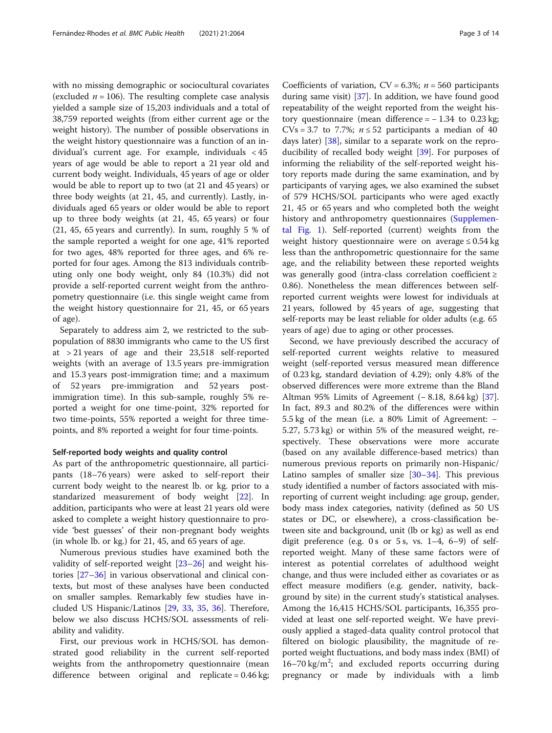with no missing demographic or sociocultural covariates (excluded  $n = 106$ ). The resulting complete case analysis yielded a sample size of 15,203 individuals and a total of 38,759 reported weights (from either current age or the weight history). The number of possible observations in the weight history questionnaire was a function of an individual's current age. For example, individuals < 45 years of age would be able to report a 21 year old and current body weight. Individuals, 45 years of age or older would be able to report up to two (at 21 and 45 years) or three body weights (at 21, 45, and currently). Lastly, individuals aged 65 years or older would be able to report up to three body weights (at 21, 45, 65 years) or four (21, 45, 65 years and currently). In sum, roughly 5 % of the sample reported a weight for one age, 41% reported for two ages, 48% reported for three ages, and 6% reported for four ages. Among the 813 individuals contributing only one body weight, only 84 (10.3%) did not provide a self-reported current weight from the anthropometry questionnaire (i.e. this single weight came from the weight history questionnaire for 21, 45, or 65 years of age).

Separately to address aim 2, we restricted to the subpopulation of 8830 immigrants who came to the US first at > 21 years of age and their 23,518 self-reported weights (with an average of 13.5 years pre-immigration and 15.3 years post-immigration time; and a maximum of 52 years pre-immigration and 52 years postimmigration time). In this sub-sample, roughly 5% reported a weight for one time-point, 32% reported for two time-points, 55% reported a weight for three timepoints, and 8% reported a weight for four time-points.

#### Self-reported body weights and quality control

As part of the anthropometric questionnaire, all participants (18–76 years) were asked to self-report their current body weight to the nearest lb. or kg. prior to a standarized measurement of body weight [\[22](#page-13-0)]. In addition, participants who were at least 21 years old were asked to complete a weight history questionnaire to provide 'best guesses' of their non-pregnant body weights (in whole lb. or kg.) for 21, 45, and 65 years of age.

Numerous previous studies have examined both the validity of self-reported weight [\[23](#page-13-0)–[26\]](#page-13-0) and weight histories [\[27](#page-13-0)–[36\]](#page-13-0) in various observational and clinical contexts, but most of these analyses have been conducted on smaller samples. Remarkably few studies have included US Hispanic/Latinos [[29,](#page-13-0) [33,](#page-13-0) [35,](#page-13-0) [36\]](#page-13-0). Therefore, below we also discuss HCHS/SOL assessments of reliability and validity.

First, our previous work in HCHS/SOL has demonstrated good reliability in the current self-reported weights from the anthropometry questionnaire (mean difference between original and replicate = 0.46 kg;

Coefficients of variation,  $CV = 6.3\%$ ;  $n = 560$  participants during same visit) [\[37](#page-13-0)]. In addition, we have found good repeatability of the weight reported from the weight history questionnaire (mean difference =  $-1.34$  to 0.23 kg; CVs = 3.7 to 7.7%;  $n \le 52$  participants a median of 40 days later) [[38](#page-13-0)], similar to a separate work on the repro-ducibility of recalled body weight [[39\]](#page-13-0). For purposes of informing the reliability of the self-reported weight history reports made during the same examination, and by participants of varying ages, we also examined the subset of 579 HCHS/SOL participants who were aged exactly 21, 45 or 65 years and who completed both the weight history and anthropometry questionnaires [\(Supplemen](#page-12-0)[tal Fig. 1](#page-12-0)). Self-reported (current) weights from the weight history questionnaire were on average  $\leq 0.54$  kg less than the anthropometric questionnaire for the same age, and the reliability between these reported weights was generally good (intra-class correlation coefficient ≥ 0.86). Nonetheless the mean differences between selfreported current weights were lowest for individuals at 21 years, followed by 45 years of age, suggesting that self-reports may be least reliable for older adults (e.g. 65 years of age) due to aging or other processes.

Second, we have previously described the accuracy of self-reported current weights relative to measured weight (self-reported versus measured mean difference of 0.23 kg, standard deviation of 4.29); only 4.8% of the observed differences were more extreme than the Bland Altman 95% Limits of Agreement (− 8.18, 8.64 kg) [\[37](#page-13-0)]. In fact, 89.3 and 80.2% of the differences were within 5.5 kg of the mean (i.e. a 80% Limit of Agreement: − 5.27, 5.73 kg) or within 5% of the measured weight, respectively. These observations were more accurate (based on any available difference-based metrics) than numerous previous reports on primarily non-Hispanic/ Latino samples of smaller size [[30](#page-13-0)–[34](#page-13-0)]. This previous study identified a number of factors associated with misreporting of current weight including: age group, gender, body mass index categories, nativity (defined as 50 US states or DC, or elsewhere), a cross-classification between site and background, unit (lb or kg) as well as end digit preference (e.g. 0 s or 5 s, vs.  $1-4$ , 6-9) of selfreported weight. Many of these same factors were of interest as potential correlates of adulthood weight change, and thus were included either as covariates or as effect measure modifiers (e.g. gender, nativity, background by site) in the current study's statistical analyses. Among the 16,415 HCHS/SOL participants, 16,355 provided at least one self-reported weight. We have previously applied a staged-data quality control protocol that filtered on biologic plausibility, the magnitude of reported weight fluctuations, and body mass index (BMI) of  $16-70$  kg/m<sup>2</sup>; and excluded reports occurring during pregnancy or made by individuals with a limb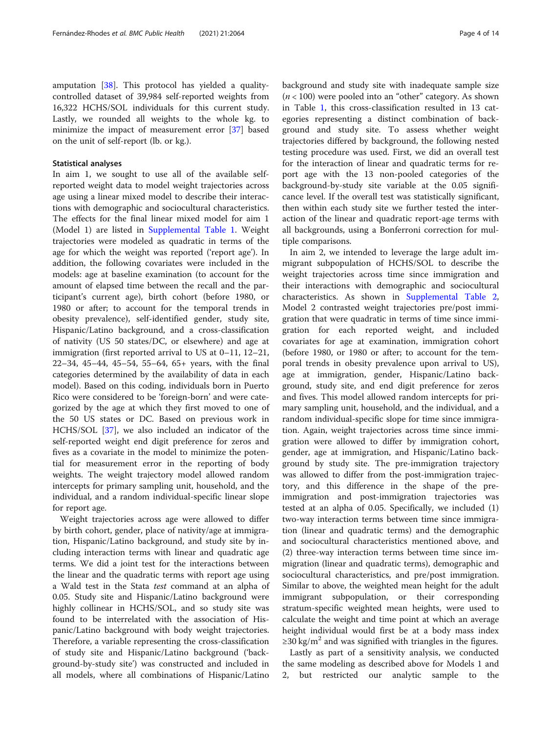#### Statistical analyses

In aim 1, we sought to use all of the available selfreported weight data to model weight trajectories across age using a linear mixed model to describe their interactions with demographic and sociocultural characteristics. The effects for the final linear mixed model for aim 1 (Model 1) are listed in [Supplemental Table 1.](#page-12-0) Weight trajectories were modeled as quadratic in terms of the age for which the weight was reported ('report age'). In addition, the following covariates were included in the models: age at baseline examination (to account for the amount of elapsed time between the recall and the participant's current age), birth cohort (before 1980, or 1980 or after; to account for the temporal trends in obesity prevalence), self-identified gender, study site, Hispanic/Latino background, and a cross-classification of nativity (US 50 states/DC, or elsewhere) and age at immigration (first reported arrival to US at 0–11, 12–21, 22–34, 45–44, 45–54, 55–64, 65+ years, with the final categories determined by the availability of data in each model). Based on this coding, individuals born in Puerto Rico were considered to be 'foreign-born' and were categorized by the age at which they first moved to one of the 50 US states or DC. Based on previous work in HCHS/SOL [\[37\]](#page-13-0), we also included an indicator of the self-reported weight end digit preference for zeros and fives as a covariate in the model to minimize the potential for measurement error in the reporting of body weights. The weight trajectory model allowed random intercepts for primary sampling unit, household, and the individual, and a random individual-specific linear slope for report age.

Weight trajectories across age were allowed to differ by birth cohort, gender, place of nativity/age at immigration, Hispanic/Latino background, and study site by including interaction terms with linear and quadratic age terms. We did a joint test for the interactions between the linear and the quadratic terms with report age using a Wald test in the Stata test command at an alpha of 0.05. Study site and Hispanic/Latino background were highly collinear in HCHS/SOL, and so study site was found to be interrelated with the association of Hispanic/Latino background with body weight trajectories. Therefore, a variable representing the cross-classification of study site and Hispanic/Latino background ('background-by-study site') was constructed and included in all models, where all combinations of Hispanic/Latino background and study site with inadequate sample size  $(n < 100)$  were pooled into an "other" category. As shown in Table [1](#page-4-0), this cross-classification resulted in 13 categories representing a distinct combination of background and study site. To assess whether weight trajectories differed by background, the following nested testing procedure was used. First, we did an overall test for the interaction of linear and quadratic terms for report age with the 13 non-pooled categories of the background-by-study site variable at the 0.05 significance level. If the overall test was statistically significant, then within each study site we further tested the interaction of the linear and quadratic report-age terms with all backgrounds, using a Bonferroni correction for multiple comparisons.

In aim 2, we intended to leverage the large adult immigrant subpopulation of HCHS/SOL to describe the weight trajectories across time since immigration and their interactions with demographic and sociocultural characteristics. As shown in [Supplemental Table 2](#page-12-0), Model 2 contrasted weight trajectories pre/post immigration that were quadratic in terms of time since immigration for each reported weight, and included covariates for age at examination, immigration cohort (before 1980, or 1980 or after; to account for the temporal trends in obesity prevalence upon arrival to US), age at immigration, gender, Hispanic/Latino background, study site, and end digit preference for zeros and fives. This model allowed random intercepts for primary sampling unit, household, and the individual, and a random individual-specific slope for time since immigration. Again, weight trajectories across time since immigration were allowed to differ by immigration cohort, gender, age at immigration, and Hispanic/Latino background by study site. The pre-immigration trajectory was allowed to differ from the post-immigration trajectory, and this difference in the shape of the preimmigration and post-immigration trajectories was tested at an alpha of 0.05. Specifically, we included (1) two-way interaction terms between time since immigration (linear and quadratic terms) and the demographic and sociocultural characteristics mentioned above, and (2) three-way interaction terms between time since immigration (linear and quadratic terms), demographic and sociocultural characteristics, and pre/post immigration. Similar to above, the weighted mean height for the adult immigrant subpopulation, or their corresponding stratum-specific weighted mean heights, were used to calculate the weight and time point at which an average height individual would first be at a body mass index  $\geq$ 30 kg/m<sup>2</sup> and was signified with triangles in the figures.

Lastly as part of a sensitivity analysis, we conducted the same modeling as described above for Models 1 and 2, but restricted our analytic sample to the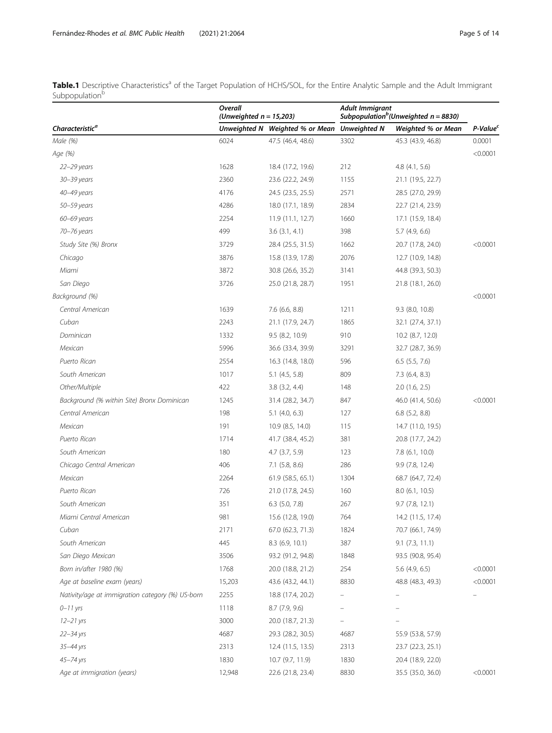<span id="page-4-0"></span>Table.1 Descriptive Characteristics<sup>a</sup> of the Target Population of HCHS/SOL, for the Entire Analytic Sample and the Adult Immigrant Subpopulation<sup>b</sup>

|                                                  | Overall<br>(Unweighted $n = 15,203$ ) |                                              | Adult Immigrant<br>Subpopulation <sup>b</sup> (Unweighted $n = 8830$ ) |                    |                      |
|--------------------------------------------------|---------------------------------------|----------------------------------------------|------------------------------------------------------------------------|--------------------|----------------------|
| Characteristic <sup>a</sup>                      |                                       | Unweighted N Weighted % or Mean Unweighted N |                                                                        | Weighted % or Mean | P-Value <sup>c</sup> |
| Male (%)                                         | 6024                                  | 47.5 (46.4, 48.6)                            | 3302                                                                   | 45.3 (43.9, 46.8)  | 0.0001               |
| Age (%)                                          |                                       |                                              |                                                                        |                    | < 0.0001             |
| 22-29 years                                      | 1628                                  | 18.4 (17.2, 19.6)                            | 212                                                                    | 4.8(4.1, 5.6)      |                      |
| 30-39 years                                      | 2360                                  | 23.6 (22.2, 24.9)                            | 1155                                                                   | 21.1 (19.5, 22.7)  |                      |
| 40-49 years                                      | 4176                                  | 24.5 (23.5, 25.5)                            | 2571                                                                   | 28.5 (27.0, 29.9)  |                      |
| 50–59 years                                      | 4286                                  | 18.0 (17.1, 18.9)                            | 2834                                                                   | 22.7 (21.4, 23.9)  |                      |
| 60-69 years                                      | 2254                                  | 11.9 (11.1, 12.7)                            | 1660                                                                   | 17.1 (15.9, 18.4)  |                      |
| 70-76 years                                      | 499                                   | $3.6$ $(3.1, 4.1)$                           | 398                                                                    | $5.7$ (4.9, 6.6)   |                      |
| Study Site (%) Bronx                             | 3729                                  | 28.4 (25.5, 31.5)                            | 1662                                                                   | 20.7 (17.8, 24.0)  | < 0.0001             |
| Chicago                                          | 3876                                  | 15.8 (13.9, 17.8)                            | 2076                                                                   | 12.7 (10.9, 14.8)  |                      |
| Miami                                            | 3872                                  | 30.8 (26.6, 35.2)                            | 3141                                                                   | 44.8 (39.3, 50.3)  |                      |
| San Diego                                        | 3726                                  | 25.0 (21.8, 28.7)                            | 1951                                                                   | 21.8 (18.1, 26.0)  |                      |
| Background (%)                                   |                                       |                                              |                                                                        |                    | < 0.0001             |
| Central American                                 | 1639                                  | 7.6 (6.6, 8.8)                               | 1211                                                                   | $9.3$ (8.0, 10.8)  |                      |
| Cuban                                            | 2243                                  | 21.1 (17.9, 24.7)                            | 1865                                                                   | 32.1 (27.4, 37.1)  |                      |
| Dominican                                        | 1332                                  | 9.5 (8.2, 10.9)                              | 910                                                                    | 10.2 (8.7, 12.0)   |                      |
| Mexican                                          | 5996                                  | 36.6 (33.4, 39.9)                            | 3291                                                                   | 32.7 (28.7, 36.9)  |                      |
| Puerto Rican                                     | 2554                                  | 16.3 (14.8, 18.0)                            | 596                                                                    | $6.5$ $(5.5, 7.6)$ |                      |
| South American                                   | 1017                                  | $5.1$ (4.5, 5.8)                             | 809                                                                    | $7.3$ (6.4, 8.3)   |                      |
| Other/Multiple                                   | 422                                   | $3.8$ $(3.2, 4.4)$                           | 148                                                                    | $2.0$ (1.6, 2.5)   |                      |
| Background (% within Site) Bronx Dominican       | 1245                                  | 31.4 (28.2, 34.7)                            | 847                                                                    | 46.0 (41.4, 50.6)  | < 0.0001             |
| Central American                                 | 198                                   | $5.1$ (4.0, 6.3)                             | 127                                                                    | $6.8$ $(5.2, 8.8)$ |                      |
| Mexican                                          | 191                                   | 10.9 (8.5, 14.0)                             | 115                                                                    | 14.7 (11.0, 19.5)  |                      |
| Puerto Rican                                     | 1714                                  | 41.7 (38.4, 45.2)                            | 381                                                                    | 20.8 (17.7, 24.2)  |                      |
| South American                                   | 180                                   | $4.7$ $(3.7, 5.9)$                           | 123                                                                    | 7.8 (6.1, 10.0)    |                      |
| Chicago Central American                         | 406                                   | $7.1$ (5.8, 8.6)                             | 286                                                                    | 9.9 (7.8, 12.4)    |                      |
| Mexican                                          | 2264                                  | 61.9 (58.5, 65.1)                            | 1304                                                                   | 68.7 (64.7, 72.4)  |                      |
| Puerto Rican                                     | 726                                   | 21.0 (17.8, 24.5)                            | 160                                                                    | 8.0 (6.1, 10.5)    |                      |
| South American                                   | 351                                   | 6.3 (5.0, 7.8)                               | 267                                                                    | 9.7(7.8, 12.1)     |                      |
| Miami Central American                           | 981                                   | 15.6 (12.8, 19.0)                            | 764                                                                    | 14.2 (11.5, 17.4)  |                      |
| Cuban                                            | 2171                                  | 67.0 (62.3, 71.3)                            | 1824                                                                   | 70.7 (66.1, 74.9)  |                      |
| South American                                   | 445                                   | 8.3 (6.9, 10.1)                              | 387                                                                    | 9.1(7.3, 11.1)     |                      |
| San Diego Mexican                                | 3506                                  | 93.2 (91.2, 94.8)                            | 1848                                                                   | 93.5 (90.8, 95.4)  |                      |
| Born in/after 1980 (%)                           | 1768                                  | 20.0 (18.8, 21.2)                            | 254                                                                    | $5.6$ (4.9, 6.5)   | < 0.0001             |
| Age at baseline exam (years)                     | 15,203                                | 43.6 (43.2, 44.1)                            | 8830                                                                   | 48.8 (48.3, 49.3)  | < 0.0001             |
| Nativity/age at immigration category (%) US-born | 2255                                  | 18.8 (17.4, 20.2)                            |                                                                        |                    |                      |
| $0 - 11$ yrs                                     | 1118                                  | $8.7$ (7.9, 9.6)                             |                                                                        |                    |                      |
| $12 - 21$ yrs                                    | 3000                                  | 20.0 (18.7, 21.3)                            |                                                                        |                    |                      |
| $22 - 34$ yrs                                    | 4687                                  | 29.3 (28.2, 30.5)                            | 4687                                                                   | 55.9 (53.8, 57.9)  |                      |
| 35-44 yrs                                        | 2313                                  | 12.4 (11.5, 13.5)                            | 2313                                                                   | 23.7 (22.3, 25.1)  |                      |
| 45-74 yrs                                        | 1830                                  | 10.7 (9.7, 11.9)                             | 1830                                                                   | 20.4 (18.9, 22.0)  |                      |
| Age at immigration (years)                       | 12,948                                | 22.6 (21.8, 23.4)                            | 8830                                                                   | 35.5 (35.0, 36.0)  | < 0.0001             |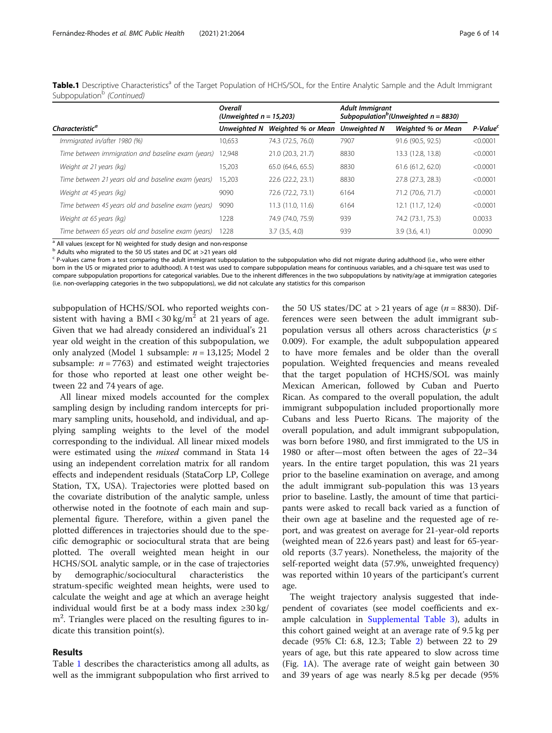|                                                     | Overall<br>(Unweighted $n = 15,203$ ) |                    | <b>Adult Immigrant</b><br>Subpopulation <sup>b</sup> (Unweighted $n = 8830$ ) |                    |                      |
|-----------------------------------------------------|---------------------------------------|--------------------|-------------------------------------------------------------------------------|--------------------|----------------------|
| <b>Characteristic<sup>a</sup></b>                   | Unweiahted N                          | Weighted % or Mean | <b>Unweighted N</b>                                                           | Weighted % or Mean | P-Value <sup>c</sup> |
| Immigrated in/after 1980 (%)                        | 10,653                                | 74.3 (72.5, 76.0)  | 7907                                                                          | 91.6 (90.5, 92.5)  | < 0.0001             |
| Time between immigration and baseline exam (years)  | 12.948                                | 21.0 (20.3, 21.7)  | 8830                                                                          | 13.3 (12.8, 13.8)  | < 0.0001             |
| Weight at 21 years (kg)                             | 15,203                                | 65.0 (64.6, 65.5)  | 8830                                                                          | 61.6(61.2, 62.0)   | < 0.0001             |
| Time between 21 years old and baseline exam (years) | 15.203                                | 22.6 (22.2, 23.1)  | 8830                                                                          | 27.8 (27.3, 28.3)  | < 0.0001             |
| Weight at 45 years (kg)                             | 9090                                  | 72.6 (72.2, 73.1)  | 6164                                                                          | 71.2 (70.6, 71.7)  | < 0.0001             |
| Time between 45 years old and baseline exam (years) | 9090                                  | 11.3 (11.0, 11.6)  | 6164                                                                          | 12.1 (11.7, 12.4)  | < 0.0001             |
| Weight at 65 years (kg)                             | 1228                                  | 74.9 (74.0, 75.9)  | 939                                                                           | 74.2 (73.1, 75.3)  | 0.0033               |
| Time between 65 years old and baseline exam (years) | 1228                                  | $3.7$ $(3.5, 4.0)$ | 939                                                                           | 3.9(3.6, 4.1)      | 0.0090               |

Table.1 Descriptive Characteristics<sup>a</sup> of the Target Population of HCHS/SOL, for the Entire Analytic Sample and the Adult Immigrant Subpopulation<sup>b</sup> (Continued)

<sup>a</sup> All values (except for N) weighted for study design and non-response

 $<sup>b</sup>$  Adults who migrated to the 50 US states and DC at >21 years old</sup>

<sup>c</sup> P-values came from a test comparing the adult immigrant subpopulation to the subpopulation who did not migrate during adulthood (i.e., who were either born in the US or migrated prior to adulthood). A t-test was used to compare subpopulation means for continuous variables, and a chi-square test was used to compare subpopulation proportions for categorical variables. Due to the inherent differences in the two subpopulations by nativity/age at immigration categories (i.e. non-overlapping categories in the two subpopulations), we did not calculate any statistics for this comparison

subpopulation of HCHS/SOL who reported weights consistent with having a BMI <  $30 \text{ kg/m}^2$  at 21 years of age. Given that we had already considered an individual's 21 year old weight in the creation of this subpopulation, we only analyzed (Model 1 subsample:  $n = 13,125$ ; Model 2 subsample:  $n = 7763$ ) and estimated weight trajectories for those who reported at least one other weight between 22 and 74 years of age.

All linear mixed models accounted for the complex sampling design by including random intercepts for primary sampling units, household, and individual, and applying sampling weights to the level of the model corresponding to the individual. All linear mixed models were estimated using the *mixed* command in Stata 14 using an independent correlation matrix for all random effects and independent residuals (StataCorp LP, College Station, TX, USA). Trajectories were plotted based on the covariate distribution of the analytic sample, unless otherwise noted in the footnote of each main and supplemental figure. Therefore, within a given panel the plotted differences in trajectories should due to the specific demographic or sociocultural strata that are being plotted. The overall weighted mean height in our HCHS/SOL analytic sample, or in the case of trajectories by demographic/sociocultural characteristics the stratum-specific weighted mean heights, were used to calculate the weight and age at which an average height individual would first be at a body mass index ≥30 kg/ m<sup>2</sup>. Triangles were placed on the resulting figures to indicate this transition point(s).

#### Results

Table [1](#page-4-0) describes the characteristics among all adults, as well as the immigrant subpopulation who first arrived to

the 50 US states/DC at  $>$  21 years of age ( $n = 8830$ ). Differences were seen between the adult immigrant subpopulation versus all others across characteristics ( $p \leq$ 0.009). For example, the adult subpopulation appeared to have more females and be older than the overall population. Weighted frequencies and means revealed that the target population of HCHS/SOL was mainly Mexican American, followed by Cuban and Puerto Rican. As compared to the overall population, the adult immigrant subpopulation included proportionally more Cubans and less Puerto Ricans. The majority of the overall population, and adult immigrant subpopulation, was born before 1980, and first immigrated to the US in 1980 or after—most often between the ages of 22–34 years. In the entire target population, this was 21 years prior to the baseline examination on average, and among the adult immigrant sub-population this was 13 years prior to baseline. Lastly, the amount of time that participants were asked to recall back varied as a function of their own age at baseline and the requested age of report, and was greatest on average for 21-year-old reports (weighted mean of 22.6 years past) and least for 65-yearold reports (3.7 years). Nonetheless, the majority of the self-reported weight data (57.9%, unweighted frequency) was reported within 10 years of the participant's current age.

The weight trajectory analysis suggested that independent of covariates (see model coefficients and example calculation in [Supplemental Table 3\)](#page-12-0), adults in this cohort gained weight at an average rate of 9.5 kg per decade (95% CI: 6.8, 12.3; Table [2](#page-6-0)) between 22 to 29 years of age, but this rate appeared to slow across time (Fig. [1A](#page-7-0)). The average rate of weight gain between 30 and 39 years of age was nearly 8.5 kg per decade (95%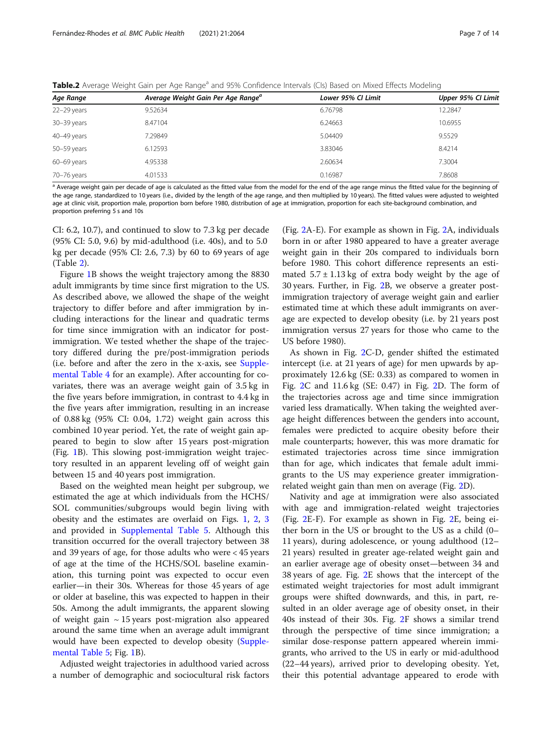<span id="page-6-0"></span>Table.2 Average Weight Gain per Age Range<sup>a</sup> and 95% Confidence Intervals (CIs) Based on Mixed Effects Modeling

| Age Range       | Average Weight Gain Per Age Range <sup>a</sup> | Lower 95% CI Limit | Upper 95% CI Limit |
|-----------------|------------------------------------------------|--------------------|--------------------|
| 22-29 years     | 9.52634                                        | 6.76798            | 12.2847            |
| 30-39 years     | 8.47104                                        | 6.24663            | 10.6955            |
| 40-49 years     | 7.29849                                        | 5.04409            | 9.5529             |
| 50-59 years     | 6.12593                                        | 3.83046            | 8.4214             |
| $60 - 69$ years | 4.95338                                        | 2.60634            | 7.3004             |
| 70-76 years     | 4.01533                                        | 0.16987            | 7.8608             |

<sup>a</sup> Average weight gain per decade of age is calculated as the fitted value from the model for the end of the age range minus the fitted value for the beginning of the age range, standardized to 10 years (i.e., divided by the length of the age range, and then multiplied by 10 years). The fitted values were adjusted to weighted age at clinic visit, proportion male, proportion born before 1980, distribution of age at immigration, proportion for each site-background combination, and proportion preferring 5 s and 10s

CI: 6.2, 10.7), and continued to slow to 7.3 kg per decade (95% CI: 5.0, 9.6) by mid-adulthood (i.e. 40s), and to 5.0 kg per decade (95% CI: 2.6, 7.3) by 60 to 69 years of age (Table 2).

Figure [1B](#page-7-0) shows the weight trajectory among the 8830 adult immigrants by time since first migration to the US. As described above, we allowed the shape of the weight trajectory to differ before and after immigration by including interactions for the linear and quadratic terms for time since immigration with an indicator for postimmigration. We tested whether the shape of the trajectory differed during the pre/post-immigration periods (i.e. before and after the zero in the x-axis, see [Supple](#page-12-0)[mental Table 4](#page-12-0) for an example). After accounting for covariates, there was an average weight gain of 3.5 kg in the five years before immigration, in contrast to 4.4 kg in the five years after immigration, resulting in an increase of 0.88 kg (95% CI: 0.04, 1.72) weight gain across this combined 10 year period. Yet, the rate of weight gain appeared to begin to slow after 15 years post-migration (Fig. [1B](#page-7-0)). This slowing post-immigration weight trajectory resulted in an apparent leveling off of weight gain between 15 and 40 years post immigration.

Based on the weighted mean height per subgroup, we estimated the age at which individuals from the HCHS/ SOL communities/subgroups would begin living with obesity and the estimates are overlaid on Figs. [1](#page-7-0), [2,](#page-8-0) [3](#page-10-0) and provided in [Supplemental Table 5.](#page-12-0) Although this transition occurred for the overall trajectory between 38 and 39 years of age, for those adults who were < 45 years of age at the time of the HCHS/SOL baseline examination, this turning point was expected to occur even earlier—in their 30s. Whereas for those 45 years of age or older at baseline, this was expected to happen in their 50s. Among the adult immigrants, the apparent slowing of weight gain  $\sim$  15 years post-migration also appeared around the same time when an average adult immigrant would have been expected to develop obesity [\(Supple](#page-12-0)[mental Table 5;](#page-12-0) Fig. [1](#page-7-0)B).

Adjusted weight trajectories in adulthood varied across a number of demographic and sociocultural risk factors

(Fig. [2](#page-8-0)A-E). For example as shown in Fig. [2](#page-8-0)A, individuals born in or after 1980 appeared to have a greater average weight gain in their 20s compared to individuals born before 1980. This cohort difference represents an estimated  $5.7 \pm 1.13$  kg of extra body weight by the age of 30 years. Further, in Fig. [2](#page-8-0)B, we observe a greater postimmigration trajectory of average weight gain and earlier estimated time at which these adult immigrants on average are expected to develop obesity (i.e. by 21 years post immigration versus 27 years for those who came to the US before 1980).

As shown in Fig. [2C](#page-8-0)-D, gender shifted the estimated intercept (i.e. at 21 years of age) for men upwards by approximately 12.6 kg (SE: 0.33) as compared to women in Fig. [2](#page-8-0)C and 11.6 kg (SE: 0.47) in Fig. [2](#page-8-0)D. The form of the trajectories across age and time since immigration varied less dramatically. When taking the weighted average height differences between the genders into account, females were predicted to acquire obesity before their male counterparts; however, this was more dramatic for estimated trajectories across time since immigration than for age, which indicates that female adult immigrants to the US may experience greater immigrationrelated weight gain than men on average (Fig. [2](#page-8-0)D).

Nativity and age at immigration were also associated with age and immigration-related weight trajectories (Fig. [2](#page-8-0)E-F). For example as shown in Fig. [2E](#page-8-0), being either born in the US or brought to the US as a child (0– 11 years), during adolescence, or young adulthood (12– 21 years) resulted in greater age-related weight gain and an earlier average age of obesity onset—between 34 and 38 years of age. Fig. [2E](#page-8-0) shows that the intercept of the estimated weight trajectories for most adult immigrant groups were shifted downwards, and this, in part, resulted in an older average age of obesity onset, in their 40s instead of their 30s. Fig. [2F](#page-8-0) shows a similar trend through the perspective of time since immigration; a similar dose-response pattern appeared wherein immigrants, who arrived to the US in early or mid-adulthood (22–44 years), arrived prior to developing obesity. Yet, their this potential advantage appeared to erode with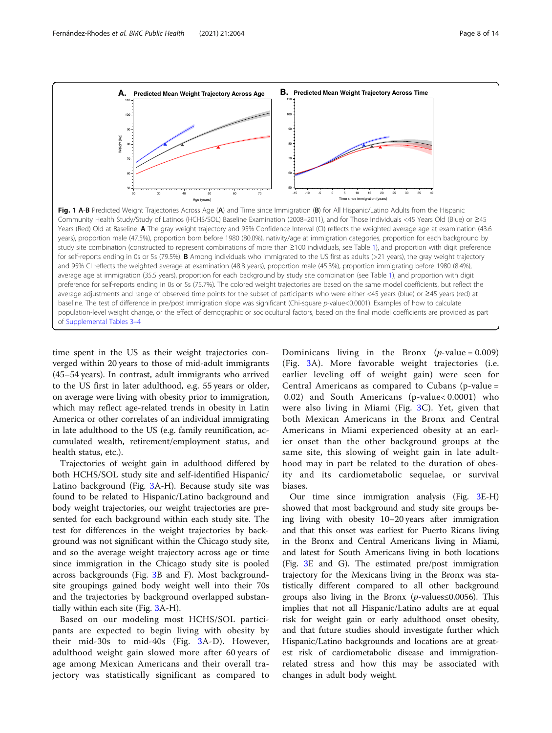<span id="page-7-0"></span>

Fig. 1 A-B Predicted Weight Trajectories Across Age (A) and Time since Immigration (B) for All Hispanic/Latino Adults from the Hispanic Community Health Study/Study of Latinos (HCHS/SOL) Baseline Examination (2008–2011), and for Those Individuals <45 Years Old (Blue) or ≥45 Years (Red) Old at Baseline. A The gray weight trajectory and 95% Confidence Interval (CI) reflects the weighted average age at examination (43.6 years), proportion male (47.5%), proportion born before 1980 (80.0%), nativity/age at immigration categories, proportion for each background by study site combination (constructed to represent combinations of more than ≥100 individuals, see Table [1\)](#page-4-0), and proportion with digit preference for self-reports ending in 0s or 5s (79.5%). B Among individuals who immigrated to the US first as adults (>21 years), the gray weight trajectory and 95% CI reflects the weighted average at examination (48.8 years), proportion male (45.3%), proportion immigrating before 1980 (8.4%), average age at immigration (35.5 years), proportion for each background by study site combination (see Table [1](#page-4-0)), and proportion with digit preference for self-reports ending in 0s or 5s (75.7%). The colored weight trajectories are based on the same model coefficients, but reflect the average adjustments and range of observed time points for the subset of participants who were either <45 years (blue) or ≥45 years (red) at baseline. The test of difference in pre/post immigration slope was significant (Chi-square p-value<0.0001). Examples of how to calculate population-level weight change, or the effect of demographic or sociocultural factors, based on the final model coefficients are provided as part of [Supplemental Tables 3](#page-12-0)–4

time spent in the US as their weight trajectories converged within 20 years to those of mid-adult immigrants (45–54 years). In contrast, adult immigrants who arrived to the US first in later adulthood, e.g. 55 years or older, on average were living with obesity prior to immigration, which may reflect age-related trends in obesity in Latin America or other correlates of an individual immigrating in late adulthood to the US (e.g. family reunification, accumulated wealth, retirement/employment status, and health status, etc.).

Trajectories of weight gain in adulthood differed by both HCHS/SOL study site and self-identified Hispanic/ Latino background (Fig. [3A](#page-10-0)-H). Because study site was found to be related to Hispanic/Latino background and body weight trajectories, our weight trajectories are presented for each background within each study site. The test for differences in the weight trajectories by background was not significant within the Chicago study site, and so the average weight trajectory across age or time since immigration in the Chicago study site is pooled across backgrounds (Fig. [3](#page-10-0)B and F). Most backgroundsite groupings gained body weight well into their 70s and the trajectories by background overlapped substantially within each site (Fig. [3A](#page-10-0)-H).

Based on our modeling most HCHS/SOL participants are expected to begin living with obesity by their mid-30s to mid-40s (Fig. [3](#page-10-0)A-D). However, adulthood weight gain slowed more after 60 years of age among Mexican Americans and their overall trajectory was statistically significant as compared to

Dominicans living in the Bronx  $(p$ -value = 0.009) (Fig. [3A](#page-10-0)). More favorable weight trajectories (i.e. earlier leveling off of weight gain) were seen for Central Americans as compared to Cubans (p-value = 0.02) and South Americans (p-value< 0.0001) who were also living in Miami (Fig. [3](#page-10-0)C). Yet, given that both Mexican Americans in the Bronx and Central Americans in Miami experienced obesity at an earlier onset than the other background groups at the same site, this slowing of weight gain in late adulthood may in part be related to the duration of obesity and its cardiometabolic sequelae, or survival biases.

Our time since immigration analysis (Fig. [3](#page-10-0)E-H) showed that most background and study site groups being living with obesity 10–20 years after immigration and that this onset was earliest for Puerto Ricans living in the Bronx and Central Americans living in Miami, and latest for South Americans living in both locations (Fig. [3E](#page-10-0) and G). The estimated pre/post immigration trajectory for the Mexicans living in the Bronx was statistically different compared to all other background groups also living in the Bronx ( $p$ -values  $\leq 0.0056$ ). This implies that not all Hispanic/Latino adults are at equal risk for weight gain or early adulthood onset obesity, and that future studies should investigate further which Hispanic/Latino backgrounds and locations are at greatest risk of cardiometabolic disease and immigrationrelated stress and how this may be associated with changes in adult body weight.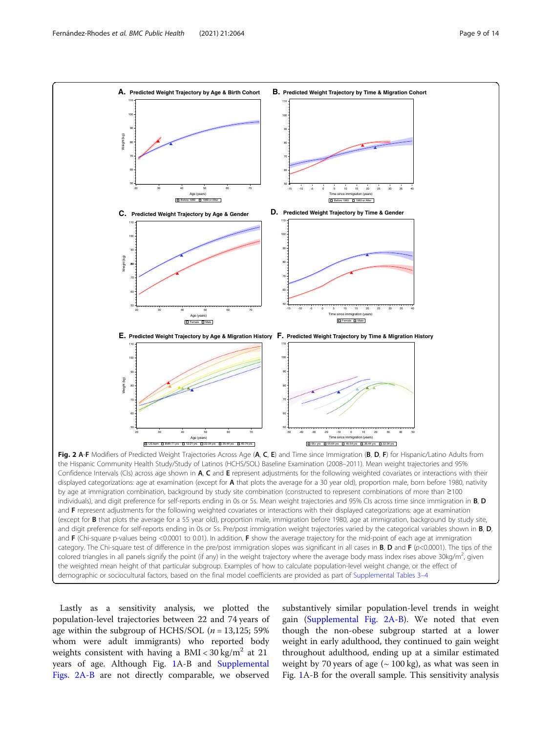<span id="page-8-0"></span>

Lastly as a sensitivity analysis, we plotted the population-level trajectories between 22 and 74 years of age within the subgroup of HCHS/SOL ( $n = 13,125$ ; 59% whom were adult immigrants) who reported body weights consistent with having a BMI <  $30 \text{ kg/m}^2$  at 21 years of age. Although Fig. [1A](#page-7-0)-B and [Supplemental](#page-12-0) [Figs. 2A-B](#page-12-0) are not directly comparable, we observed

substantively similar population-level trends in weight gain [\(Supplemental Fig. 2A-B\)](#page-12-0). We noted that even though the non-obese subgroup started at a lower weight in early adulthood, they continued to gain weight throughout adulthood, ending up at a similar estimated weight by 70 years of age  $({\sim}100 \text{ kg})$ , as what was seen in Fig. [1](#page-7-0)A-B for the overall sample. This sensitivity analysis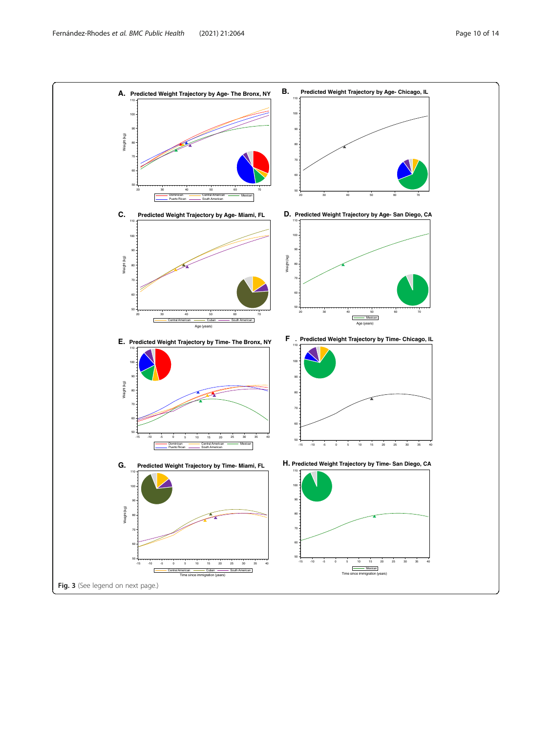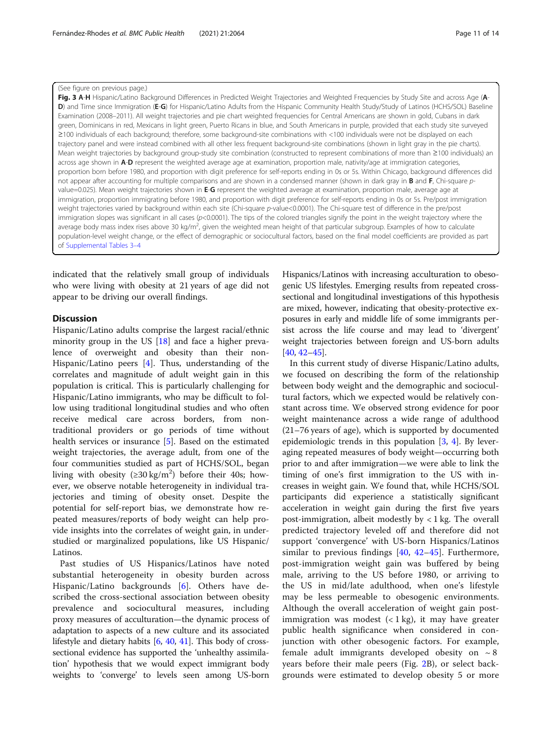#### <span id="page-10-0"></span>(See figure on previous page.)

Fig. 3 A-H Hispanic/Latino Background Differences in Predicted Weight Trajectories and Weighted Frequencies by Study Site and across Age (A-D) and Time since Immigration (E-G) for Hispanic/Latino Adults from the Hispanic Community Health Study/Study of Latinos (HCHS/SOL) Baseline Examination (2008–2011). All weight trajectories and pie chart weighted frequencies for Central Americans are shown in gold, Cubans in dark green, Dominicans in red, Mexicans in light green, Puerto Ricans in blue, and South Americans in purple, provided that each study site surveyed ≥100 individuals of each background; therefore, some background-site combinations with <100 individuals were not be displayed on each trajectory panel and were instead combined with all other less frequent background-site combinations (shown in light gray in the pie charts). Mean weight trajectories by background group-study site combination (constructed to represent combinations of more than ≥100 individuals) an across age shown in A-D represent the weighted average age at examination, proportion male, nativity/age at immigration categories, proportion born before 1980, and proportion with digit preference for self-reports ending in 0s or 5s. Within Chicago, background differences did not appear after accounting for multiple comparisons and are shown in a condensed manner (shown in dark gray in **B** and **F**, Chi-square pvalue=0.025). Mean weight trajectories shown in E-G represent the weighted average at examination, proportion male, average age at immigration, proportion immigrating before 1980, and proportion with digit preference for self-reports ending in 0s or 5s. Pre/post immigration weight trajectories varied by background within each site (Chi-square p-value<0.0001). The Chi-square test of difference in the pre/post immigration slopes was significant in all cases (p<0.0001). The tips of the colored triangles signify the point in the weight trajectory where the average body mass index rises above 30 kg/m<sup>2</sup>, given the weighted mean height of that particular subgroup. Examples of how to calculate population-level weight change, or the effect of demographic or sociocultural factors, based on the final model coefficients are provided as part of [Supplemental Tables 3](#page-12-0)–4

indicated that the relatively small group of individuals who were living with obesity at 21 years of age did not appear to be driving our overall findings.

### **Discussion**

Hispanic/Latino adults comprise the largest racial/ethnic minority group in the US  $[18]$  and face a higher prevalence of overweight and obesity than their non-Hispanic/Latino peers [\[4](#page-12-0)]. Thus, understanding of the correlates and magnitude of adult weight gain in this population is critical. This is particularly challenging for Hispanic/Latino immigrants, who may be difficult to follow using traditional longitudinal studies and who often receive medical care across borders, from nontraditional providers or go periods of time without health services or insurance [\[5](#page-12-0)]. Based on the estimated weight trajectories, the average adult, from one of the four communities studied as part of HCHS/SOL, began living with obesity  $(\geq 30 \text{ kg/m}^2)$  before their 40s; however, we observe notable heterogeneity in individual trajectories and timing of obesity onset. Despite the potential for self-report bias, we demonstrate how repeated measures/reports of body weight can help provide insights into the correlates of weight gain, in understudied or marginalized populations, like US Hispanic/ Latinos.

Past studies of US Hispanics/Latinos have noted substantial heterogeneity in obesity burden across Hispanic/Latino backgrounds [[6\]](#page-12-0). Others have described the cross-sectional association between obesity prevalence and sociocultural measures, including proxy measures of acculturation—the dynamic process of adaptation to aspects of a new culture and its associated lifestyle and dietary habits [\[6](#page-12-0), [40](#page-13-0), [41](#page-13-0)]. This body of crosssectional evidence has supported the 'unhealthy assimilation' hypothesis that we would expect immigrant body weights to 'converge' to levels seen among US-born

Hispanics/Latinos with increasing acculturation to obesogenic US lifestyles. Emerging results from repeated crosssectional and longitudinal investigations of this hypothesis are mixed, however, indicating that obesity-protective exposures in early and middle life of some immigrants persist across the life course and may lead to 'divergent' weight trajectories between foreign and US-born adults [[40](#page-13-0), [42](#page-13-0)–[45](#page-13-0)].

In this current study of diverse Hispanic/Latino adults, we focused on describing the form of the relationship between body weight and the demographic and sociocultural factors, which we expected would be relatively constant across time. We observed strong evidence for poor weight maintenance across a wide range of adulthood (21–76 years of age), which is supported by documented epidemiologic trends in this population  $[3, 4]$  $[3, 4]$  $[3, 4]$  $[3, 4]$  $[3, 4]$ . By leveraging repeated measures of body weight—occurring both prior to and after immigration—we were able to link the timing of one's first immigration to the US with increases in weight gain. We found that, while HCHS/SOL participants did experience a statistically significant acceleration in weight gain during the first five years post-immigration, albeit modestly by  $\langle 1 \rangle$  1 kg. The overall predicted trajectory leveled off and therefore did not support 'convergence' with US-born Hispanics/Latinos similar to previous findings [[40,](#page-13-0) [42](#page-13-0)–[45](#page-13-0)]. Furthermore, post-immigration weight gain was buffered by being male, arriving to the US before 1980, or arriving to the US in mid/late adulthood, when one's lifestyle may be less permeable to obesogenic environments. Although the overall acceleration of weight gain postimmigration was modest  $(< 1 \text{ kg})$ , it may have greater public health significance when considered in conjunction with other obesogenic factors. For example, female adult immigrants developed obesity on  $\sim$  8 years before their male peers (Fig. [2](#page-8-0)B), or select backgrounds were estimated to develop obesity 5 or more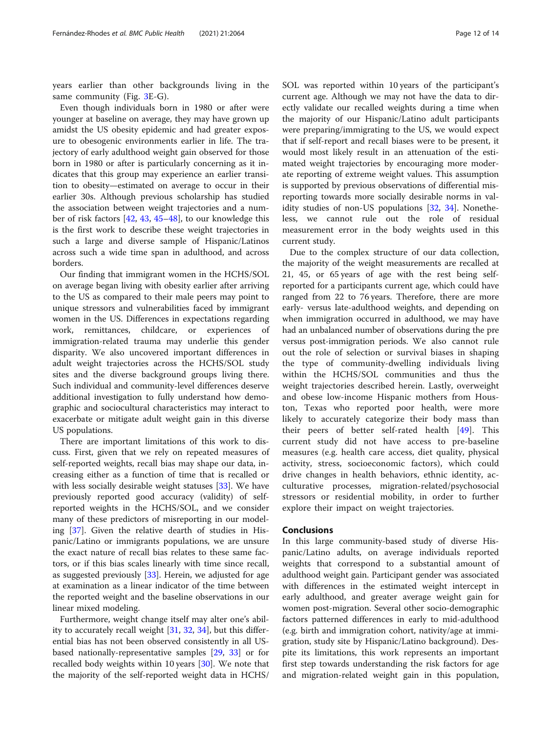years earlier than other backgrounds living in the same community (Fig. [3](#page-10-0)E-G).

Even though individuals born in 1980 or after were younger at baseline on average, they may have grown up amidst the US obesity epidemic and had greater exposure to obesogenic environments earlier in life. The trajectory of early adulthood weight gain observed for those born in 1980 or after is particularly concerning as it indicates that this group may experience an earlier transition to obesity—estimated on average to occur in their earlier 30s. Although previous scholarship has studied the association between weight trajectories and a number of risk factors [[42,](#page-13-0) [43,](#page-13-0) [45](#page-13-0)–[48\]](#page-13-0), to our knowledge this is the first work to describe these weight trajectories in such a large and diverse sample of Hispanic/Latinos across such a wide time span in adulthood, and across borders.

Our finding that immigrant women in the HCHS/SOL on average began living with obesity earlier after arriving to the US as compared to their male peers may point to unique stressors and vulnerabilities faced by immigrant women in the US. Differences in expectations regarding work, remittances, childcare, or experiences of immigration-related trauma may underlie this gender disparity. We also uncovered important differences in adult weight trajectories across the HCHS/SOL study sites and the diverse background groups living there. Such individual and community-level differences deserve additional investigation to fully understand how demographic and sociocultural characteristics may interact to exacerbate or mitigate adult weight gain in this diverse US populations.

There are important limitations of this work to discuss. First, given that we rely on repeated measures of self-reported weights, recall bias may shape our data, increasing either as a function of time that is recalled or with less socially desirable weight statuses [\[33\]](#page-13-0). We have previously reported good accuracy (validity) of selfreported weights in the HCHS/SOL, and we consider many of these predictors of misreporting in our modeling [[37\]](#page-13-0). Given the relative dearth of studies in Hispanic/Latino or immigrants populations, we are unsure the exact nature of recall bias relates to these same factors, or if this bias scales linearly with time since recall, as suggested previously [[33\]](#page-13-0). Herein, we adjusted for age at examination as a linear indicator of the time between the reported weight and the baseline observations in our linear mixed modeling.

Furthermore, weight change itself may alter one's ability to accurately recall weight [\[31,](#page-13-0) [32,](#page-13-0) [34\]](#page-13-0), but this differential bias has not been observed consistently in all USbased nationally-representative samples [\[29](#page-13-0), [33](#page-13-0)] or for recalled body weights within 10 years [[30\]](#page-13-0). We note that the majority of the self-reported weight data in HCHS/ SOL was reported within 10 years of the participant's current age. Although we may not have the data to directly validate our recalled weights during a time when the majority of our Hispanic/Latino adult participants were preparing/immigrating to the US, we would expect that if self-report and recall biases were to be present, it would most likely result in an attenuation of the estimated weight trajectories by encouraging more moderate reporting of extreme weight values. This assumption is supported by previous observations of differential misreporting towards more socially desirable norms in validity studies of non-US populations [[32,](#page-13-0) [34\]](#page-13-0). Nonetheless, we cannot rule out the role of residual measurement error in the body weights used in this current study.

Due to the complex structure of our data collection, the majority of the weight measurements are recalled at 21, 45, or 65 years of age with the rest being selfreported for a participants current age, which could have ranged from 22 to 76 years. Therefore, there are more early- versus late-adulthood weights, and depending on when immigration occurred in adulthood, we may have had an unbalanced number of observations during the pre versus post-immigration periods. We also cannot rule out the role of selection or survival biases in shaping the type of community-dwelling individuals living within the HCHS/SOL communities and thus the weight trajectories described herein. Lastly, overweight and obese low-income Hispanic mothers from Houston, Texas who reported poor health, were more likely to accurately categorize their body mass than their peers of better self-rated health [\[49](#page-13-0)]. This current study did not have access to pre-baseline measures (e.g. health care access, diet quality, physical activity, stress, socioeconomic factors), which could drive changes in health behaviors, ethnic identity, acculturative processes, migration-related/psychosocial stressors or residential mobility, in order to further explore their impact on weight trajectories.

#### Conclusions

In this large community-based study of diverse Hispanic/Latino adults, on average individuals reported weights that correspond to a substantial amount of adulthood weight gain. Participant gender was associated with differences in the estimated weight intercept in early adulthood, and greater average weight gain for women post-migration. Several other socio-demographic factors patterned differences in early to mid-adulthood (e.g. birth and immigration cohort, nativity/age at immigration, study site by Hispanic/Latino background). Despite its limitations, this work represents an important first step towards understanding the risk factors for age and migration-related weight gain in this population,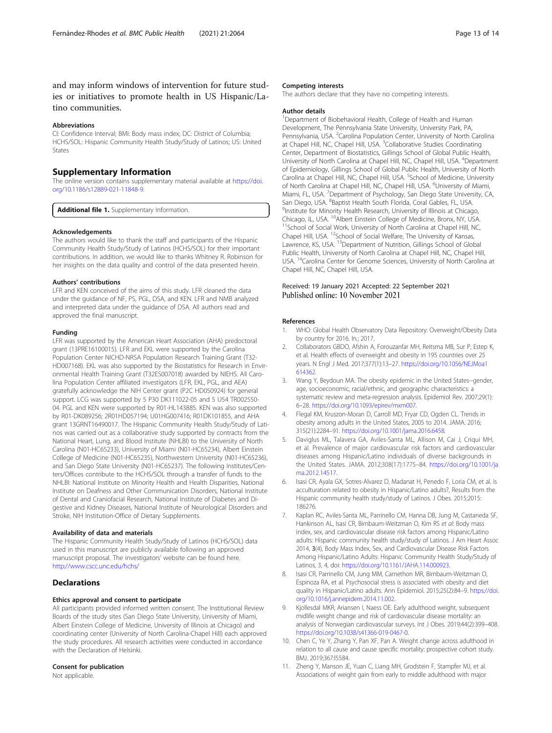#### <span id="page-12-0"></span>Abbreviations

CI: Confidence Interval; BMI: Body mass index; DC: District of Columbia; HCHS/SOL: Hispanic Community Health Study/Study of Latinos; US: United States

#### Supplementary Information

The online version contains supplementary material available at [https://doi.](https://doi.org/10.1186/s12889-021-11848-9) [org/10.1186/s12889-021-11848-9.](https://doi.org/10.1186/s12889-021-11848-9)

Additional file 1. Supplementary Information.

#### Acknowledgements

The authors would like to thank the staff and participants of the Hispanic Community Health Study/Study of Latinos (HCHS/SOL) for their important contributions. In addition, we would like to thanks Whitney R. Robinson for her insights on the data quality and control of the data presented herein.

#### Authors' contributions

LFR and KEN conceived of the aims of this study. LFR cleaned the data under the guidance of NF, PS, PGL, DSA, and KEN. LFR and NMB analyzed and interpreted data under the guidance of DSA. All authors read and approved the final manuscript.

#### Funding

LFR was supported by the American Heart Association (AHA) predoctoral grant (13PRE16100015). LFR and EKL were supported by the Carolina Population Center NICHD-NRSA Population Research Training Grant (T32- HD007168). EKL was also supported by the Biostatistics for Research in Environmental Health Training Grant (T32ES007018) awarded by NIEHS. All Carolina Population Center affiliated investigators (LFR, EKL, PGL, and AEA) gratefully acknowledge the NIH Center grant (P2C HD050924) for general support. LCG was supported by 5 P30 DK111022-05 and 5 U54 TR002550- 04. PGL and KEN were supported by R01-HL143885. KEN was also supported by R01-DK089256; 2R01HD057194; U01HG007416; R01DK101855, and AHA grant 13GRNT16490017. The Hispanic Community Health Study/Study of Latinos was carried out as a collaborative study supported by contracts from the National Heart, Lung, and Blood Institute (NHLBI) to the University of North Carolina (N01-HC65233), University of Miami (N01-HC65234), Albert Einstein College of Medicine (N01-HC65235), Northwestern University (N01-HC65236), and San Diego State University (N01-HC65237). The following Institutes/Centers/Offices contribute to the HCHS/SOL through a transfer of funds to the NHLBI: National Institute on Minority Health and Health Disparities, National Institute on Deafness and Other Communication Disorders, National Institute of Dental and Craniofacial Research, National Institute of Diabetes and Digestive and Kidney Diseases, National Institute of Neurological Disorders and Stroke, NIH Institution-Office of Dietary Supplements.

#### Availability of data and materials

The Hispanic Community Health Study/Study of Latinos (HCHS/SOL) data used in this manuscript are publicly available following an approved manuscript proposal. The investigators' website can be found here. <http://www.cscc.unc.edu/hchs/>

#### **Declarations**

#### Ethics approval and consent to participate

All participants provided informed written consent. The Institutional Review Boards of the study sites (San Diego State University, University of Miami, Albert Einstein College of Medicine, University of Illinois at Chicago) and coordinating center (University of North Carolina-Chapel Hill) each approved the study procedures. All research activities were conducted in accordance with the Declaration of Helsinki.

#### Consent for publication

Not applicable.

#### Competing interests

The authors declare that they have no competing interests.

#### Author details

<sup>1</sup>Department of Biobehavioral Health, College of Health and Human Development, The Pennsylvania State University, University Park, PA, Pennsylvania, USA. <sup>2</sup>Carolina Population Center, University of North Carolina at Chapel Hill, NC, Chapel Hill, USA. <sup>3</sup>Collaborative Studies Coordinating Center, Department of Biostatistics, Gillings School of Global Public Health, University of North Carolina at Chapel Hill, NC, Chapel Hill, USA. <sup>4</sup>Department of Epidemiology, Gillings School of Global Public Health, University of North Carolina at Chapel Hill, NC, Chapel Hill, USA. <sup>5</sup>School of Medicine, University of North Carolina at Chapel Hill, NC, Chapel Hill, USA. <sup>6</sup>University of Miami Miami, FL, USA. <sup>7</sup>Department of Psychology, San Diego State University, CA San Diego, USA. <sup>8</sup>Baptist Health South Florida, Coral Gables, FL, USA. <sup>9</sup>Institute for Minority Hoalth Becoarch University of Illinois at Chicag <sup>9</sup> Institute for Minority Health Research, University of Illinois at Chicago, Chicago, Chicago, IL, USA. <sup>10</sup> Albert Einstein College of Medicine, Bronx, NY, USA. <sup>11</sup>School of Social Work, University of North Carolina at Chapel Hill, NC, Chapel Hill, USA. <sup>12</sup>School of Social Welfare, The University of Kansas, Lawrence, KS, USA. <sup>13</sup>Department of Nutrition, Gillings School of Global Public Health, University of North Carolina at Chapel Hill, NC, Chapel Hill, USA. 14Carolina Center for Genome Sciences, University of North Carolina at Chapel Hill, NC, Chapel Hill, USA.

#### Received: 19 January 2021 Accepted: 22 September 2021 Published online: 10 November 2021

#### References

- 1. WHO: Global Health Observatory Data Repository: Overweight/Obesity Data by country for 2016. In.; 2017.
- 2. Collaborators GBDO, Afshin A, Forouzanfar MH, Reitsma MB, Sur P, Estep K, et al. Health effects of overweight and obesity in 195 countries over 25 years. N Engl J Med. 2017;377(1):13–27. [https://doi.org/10.1056/NEJMoa1](https://doi.org/10.1056/NEJMoa1614362) [614362](https://doi.org/10.1056/NEJMoa1614362).
- 3. Wang Y, Beydoun MA. The obesity epidemic in the United States--gender, age, socioeconomic, racial/ethnic, and geographic characteristics: a systematic review and meta-regression analysis. Epidemiol Rev. 2007;29(1): 6–28. [https://doi.org/10.1093/epirev/mxm007.](https://doi.org/10.1093/epirev/mxm007)
- 4. Flegal KM, Kruszon-Moran D, Carroll MD, Fryar CD, Ogden CL. Trends in obesity among adults in the United States, 2005 to 2014. JAMA. 2016; 315(21):2284–91. [https://doi.org/10.1001/jama.2016.6458.](https://doi.org/10.1001/jama.2016.6458)
- Daviglus ML, Talavera GA, Aviles-Santa ML, Allison M, Cai J, Criqui MH, et al. Prevalence of major cardiovascular risk factors and cardiovascular diseases among Hispanic/Latino individuals of diverse backgrounds in the United States. JAMA. 2012;308(17):1775–84. [https://doi.org/10.1001/ja](https://doi.org/10.1001/jama.2012.14517) [ma.2012.14517.](https://doi.org/10.1001/jama.2012.14517)
- Isasi CR, Ayala GX, Sotres-Alvarez D, Madanat H, Penedo F, Loria CM, et al. Is acculturation related to obesity in Hispanic/Latino adults?, Results from the Hispanic community health study/study of Latinos. J Obes. 2015;2015: 186276.
- 7. Kaplan RC, Aviles-Santa ML, Parrinello CM, Hanna DB, Jung M, Castaneda SF, Hankinson AL, Isasi CR, Birnbaum-Weitzman O, Kim RS et al: Body mass index, sex, and cardiovascular disease risk factors among Hispanic/Latino adults: Hispanic community health study/study of Latinos. J Am Heart Assoc 2014, 3(4), Body Mass Index, Sex, and Cardiovascular Disease Risk Factors Among Hispanic/Latino Adults: Hispanic Community Health Study/Study of Latinos, 3, 4, doi: [https://doi.org/10.1161/JAHA.114.000923.](https://doi.org/10.1161/JAHA.114.000923)
- 8. Isasi CR, Parrinello CM, Jung MM, Carnethon MR, Birnbaum-Weitzman O, Espinoza RA, et al. Psychosocial stress is associated with obesity and diet quality in Hispanic/Latino adults. Ann Epidemiol. 2015;25(2):84–9. [https://doi.](https://doi.org/10.1016/j.annepidem.2014.11.002) [org/10.1016/j.annepidem.2014.11.002.](https://doi.org/10.1016/j.annepidem.2014.11.002)
- 9. Kjollesdal MKR, Ariansen I, Naess OE. Early adulthood weight, subsequent midlife weight change and risk of cardiovascular disease mortality: an analysis of Norwegian cardiovascular surveys. Int J Obes. 2019;44(2):399–408. <https://doi.org/10.1038/s41366-019-0467-0>.
- 10. Chen C, Ye Y, Zhang Y, Pan XF, Pan A. Weight change across adulthood in relation to all cause and cause specific mortality: prospective cohort study. BMJ. 2019;367:l5584.
- 11. Zheng Y, Manson JE, Yuan C, Liang MH, Grodstein F, Stampfer MJ, et al. Associations of weight gain from early to middle adulthood with major